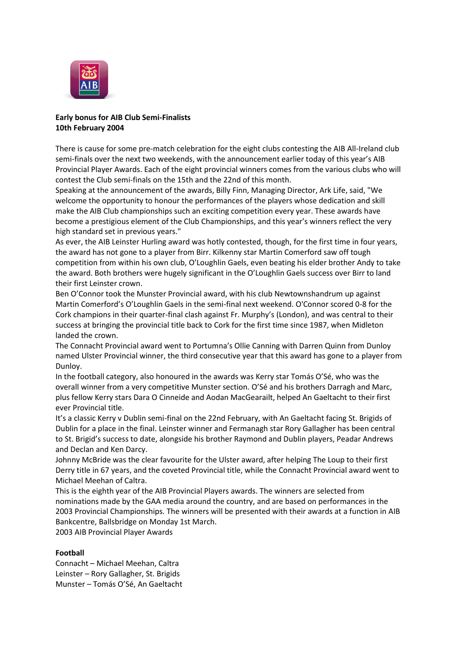

## **Early bonus for AIB Club Semi-Finalists 10th February 2004**

There is cause for some pre-match celebration for the eight clubs contesting the AIB All-Ireland club semi-finals over the next two weekends, with the announcement earlier today of this year's AIB Provincial Player Awards. Each of the eight provincial winners comes from the various clubs who will contest the Club semi-finals on the 15th and the 22nd of this month.

Speaking at the announcement of the awards, Billy Finn, Managing Director, Ark Life, said, "We welcome the opportunity to honour the performances of the players whose dedication and skill make the AIB Club championships such an exciting competition every year. These awards have become a prestigious element of the Club Championships, and this year's winners reflect the very high standard set in previous years."

As ever, the AIB Leinster Hurling award was hotly contested, though, for the first time in four years, the award has not gone to a player from Birr. Kilkenny star Martin Comerford saw off tough competition from within his own club, O'Loughlin Gaels, even beating his elder brother Andy to take the award. Both brothers were hugely significant in the O'Loughlin Gaels success over Birr to land their first Leinster crown.

Ben O'Connor took the Munster Provincial award, with his club Newtownshandrum up against Martin Comerford's O'Loughlin Gaels in the semi-final next weekend. O'Connor scored 0-8 for the Cork champions in their quarter-final clash against Fr. Murphy's (London), and was central to their success at bringing the provincial title back to Cork for the first time since 1987, when Midleton landed the crown.

The Connacht Provincial award went to Portumna's Ollie Canning with Darren Quinn from Dunloy named Ulster Provincial winner, the third consecutive year that this award has gone to a player from Dunloy.

In the football category, also honoured in the awards was Kerry star Tomás O'Sé, who was the overall winner from a very competitive Munster section. O'Sé and his brothers Darragh and Marc, plus fellow Kerry stars Dara O Cinneide and Aodan MacGearailt, helped An Gaeltacht to their first ever Provincial title.

It's a classic Kerry v Dublin semi-final on the 22nd February, with An Gaeltacht facing St. Brigids of Dublin for a place in the final. Leinster winner and Fermanagh star Rory Gallagher has been central to St. Brigid's success to date, alongside his brother Raymond and Dublin players, Peadar Andrews and Declan and Ken Darcy.

Johnny McBride was the clear favourite for the Ulster award, after helping The Loup to their first Derry title in 67 years, and the coveted Provincial title, while the Connacht Provincial award went to Michael Meehan of Caltra.

This is the eighth year of the AIB Provincial Players awards. The winners are selected from nominations made by the GAA media around the country, and are based on performances in the 2003 Provincial Championships. The winners will be presented with their awards at a function in AIB Bankcentre, Ballsbridge on Monday 1st March.

2003 AIB Provincial Player Awards

## **Football**

Connacht – Michael Meehan, Caltra Leinster – Rory Gallagher, St. Brigids Munster – Tomás O'Sé, An Gaeltacht